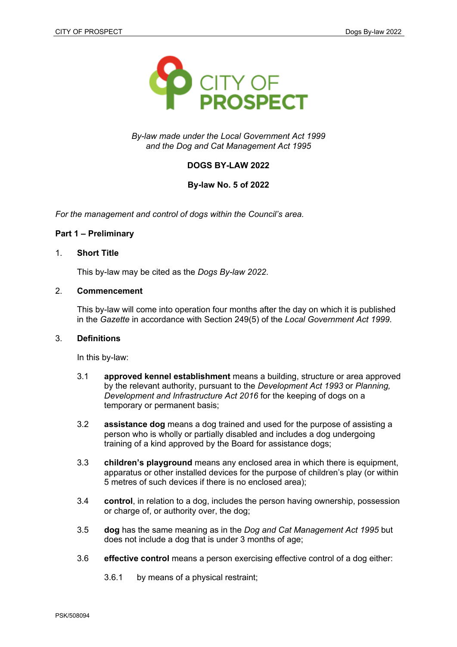

*By-law made under the Local Government Act 1999 and the Dog and Cat Management Act 1995*

# **DOGS BY-LAW 2022**

## **By-law No. 5 of 2022**

*For the management and control of dogs within the Council's area.*

## **Part 1 – Preliminary**

### 1. **Short Title**

This by-law may be cited as the *Dogs By-law 2022*.

## 2. **Commencement**

This by-law will come into operation four months after the day on which it is published in the *Gazette* in accordance with Section 249(5) of the *Local Government Act 1999*.

#### 3. **Definitions**

In this by-law:

- 3.1 **approved kennel establishment** means a building, structure or area approved by the relevant authority, pursuant to the *Development Act 1993* or *Planning, Development and Infrastructure Act 2016* for the keeping of dogs on a temporary or permanent basis;
- 3.2 **assistance dog** means a dog trained and used for the purpose of assisting a person who is wholly or partially disabled and includes a dog undergoing training of a kind approved by the Board for assistance dogs;
- 3.3 **children's playground** means any enclosed area in which there is equipment, apparatus or other installed devices for the purpose of children's play (or within 5 metres of such devices if there is no enclosed area);
- 3.4 **control**, in relation to a dog, includes the person having ownership, possession or charge of, or authority over, the dog;
- 3.5 **dog** has the same meaning as in the *Dog and Cat Management Act 1995* but does not include a dog that is under 3 months of age;
- 3.6 **effective control** means a person exercising effective control of a dog either:
	- 3.6.1 by means of a physical restraint;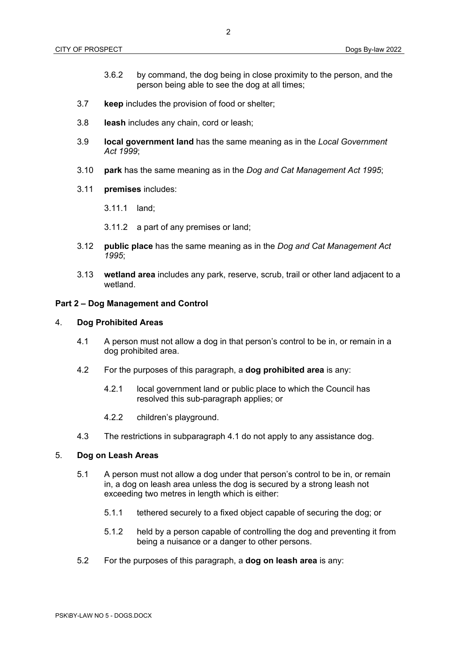- 3.6.2 by command, the dog being in close proximity to the person, and the person being able to see the dog at all times;
- 3.7 **keep** includes the provision of food or shelter;
- 3.8 **leash** includes any chain, cord or leash;
- 3.9 **local government land** has the same meaning as in the *Local Government Act 1999*;
- 3.10 **park** has the same meaning as in the *Dog and Cat Management Act 1995*;
- 3.11 **premises** includes:
	- 3.11.1 land;
	- 3.11.2 a part of any premises or land;
- 3.12 **public place** has the same meaning as in the *Dog and Cat Management Act 1995*;
- 3.13 **wetland area** includes any park, reserve, scrub, trail or other land adjacent to a wetland.

### **Part 2 – Dog Management and Control**

### 4. **Dog Prohibited Areas**

- 4.1 A person must not allow a dog in that person's control to be in, or remain in a dog prohibited area.
- 4.2 For the purposes of this paragraph, a **dog prohibited area** is any:
	- 4.2.1 local government land or public place to which the Council has resolved this sub-paragraph applies; or
	- 4.2.2 children's playground.
- 4.3 The restrictions in subparagraph 4.1 do not apply to any assistance dog.

### 5. **Dog on Leash Areas**

- 5.1 A person must not allow a dog under that person's control to be in, or remain in, a dog on leash area unless the dog is secured by a strong leash not exceeding two metres in length which is either:
	- 5.1.1 tethered securely to a fixed object capable of securing the dog; or
	- 5.1.2 held by a person capable of controlling the dog and preventing it from being a nuisance or a danger to other persons.
- 5.2 For the purposes of this paragraph, a **dog on leash area** is any: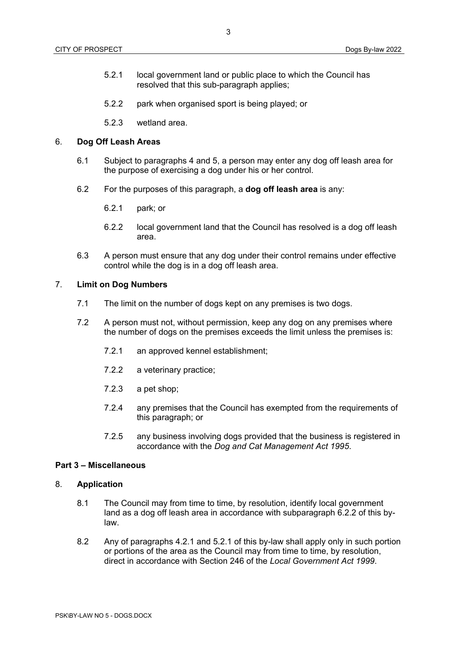- 5.2.1 local government land or public place to which the Council has resolved that this sub-paragraph applies;
- 5.2.2 park when organised sport is being played; or
- 5.2.3 wetland area.

## 6. **Dog Off Leash Areas**

- 6.1 Subject to paragraphs 4 and 5, a person may enter any dog off leash area for the purpose of exercising a dog under his or her control.
- 6.2 For the purposes of this paragraph, a **dog off leash area** is any:
	- 6.2.1 park; or
	- 6.2.2 local government land that the Council has resolved is a dog off leash area.
- 6.3 A person must ensure that any dog under their control remains under effective control while the dog is in a dog off leash area.

## 7. **Limit on Dog Numbers**

- 7.1 The limit on the number of dogs kept on any premises is two dogs.
- 7.2 A person must not, without permission, keep any dog on any premises where the number of dogs on the premises exceeds the limit unless the premises is:
	- 7.2.1 an approved kennel establishment;
	- 7.2.2 a veterinary practice;
	- 7.2.3 a pet shop;
	- 7.2.4 any premises that the Council has exempted from the requirements of this paragraph; or
	- 7.2.5 any business involving dogs provided that the business is registered in accordance with the *Dog and Cat Management Act 1995*.

#### **Part 3 – Miscellaneous**

### 8. **Application**

- 8.1 The Council may from time to time, by resolution, identify local government land as a dog off leash area in accordance with subparagraph 6.2.2 of this bylaw.
- 8.2 Any of paragraphs 4.2.1 and 5.2.1 of this by-law shall apply only in such portion or portions of the area as the Council may from time to time, by resolution, direct in accordance with Section 246 of the *Local Government Act 1999*.